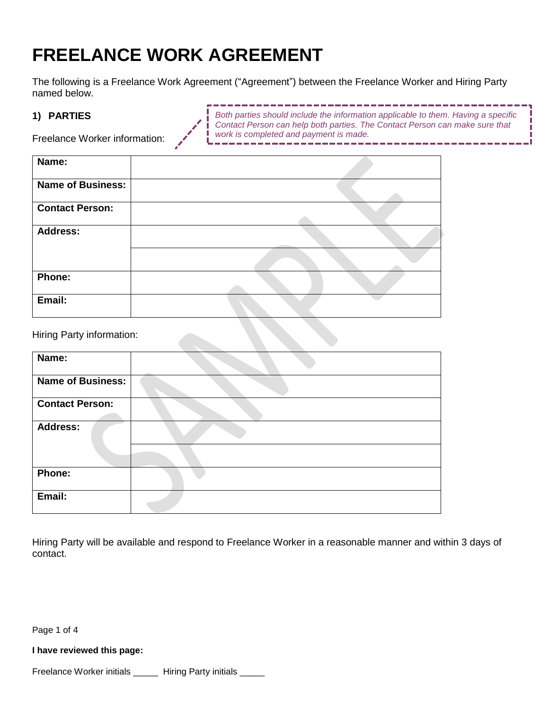# **FREELANCE WORK AGREEMENT**

The following is a Freelance Work Agreement ("Agreement") between the Freelance Worker and Hiring Party named below.

## **1) PARTIES**

Freelance Worker information:

*Both parties should include the information applicable to them. Having a specific*  ш *Contact Person can help both parties. The Contact Person can make sure that work is completed and payment is made.*

Ī

| Name:                    |  |
|--------------------------|--|
| <b>Name of Business:</b> |  |
| <b>Contact Person:</b>   |  |
| <b>Address:</b>          |  |
|                          |  |
| Phone:                   |  |
| Email:                   |  |

#### Hiring Party information:

| Name:                    |  |
|--------------------------|--|
| <b>Name of Business:</b> |  |
| <b>Contact Person:</b>   |  |
| <b>Address:</b>          |  |
|                          |  |
| Phone:                   |  |
| Email:                   |  |

Hiring Party will be available and respond to Freelance Worker in a reasonable manner and within 3 days of contact.

Page 1 of 4

#### **I have reviewed this page:**

Freelance Worker initials \_\_\_\_\_\_ Hiring Party initials \_\_\_\_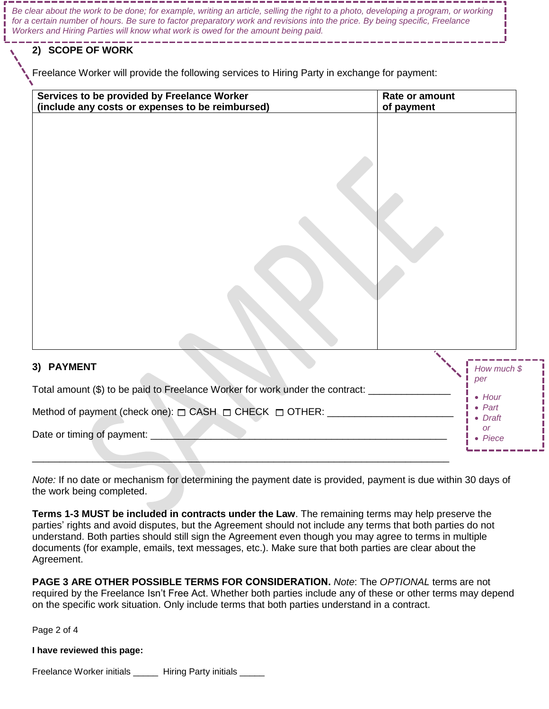| Be clear about the work to be done; for example, writing an article, selling the right to a photo, developing a program, or working<br>for a certain number of hours. Be sure to factor preparatory work and revisions into the price. By being specific, Freelance<br>Workers and Hiring Parties will know what work is owed for the amount being paid. |
|----------------------------------------------------------------------------------------------------------------------------------------------------------------------------------------------------------------------------------------------------------------------------------------------------------------------------------------------------------|
|                                                                                                                                                                                                                                                                                                                                                          |

## **2) SCOPE OF WORK**

Freelance Worker will provide the following services to Hiring Party in exchange for payment:

| Services to be provided by Freelance Worker<br>(include any costs or expenses to be reimbursed) | <b>Rate or amount</b><br>of payment |
|-------------------------------------------------------------------------------------------------|-------------------------------------|
|                                                                                                 |                                     |
| 3) PAYMENT                                                                                      | How much \$                         |
| Total amount (\$) to be paid to Freelance Worker for work under the contract: ___________       | per<br>$\bullet$ Hour               |
|                                                                                                 | $\bullet$ Part<br>• Draft           |
| Date or timing of payment: ___                                                                  | <b>or</b><br>• Piece                |

*Note:* If no date or mechanism for determining the payment date is provided, payment is due within 30 days of the work being completed.

\_\_\_\_\_\_\_\_\_\_\_\_\_\_\_\_\_\_\_\_\_\_\_\_\_\_\_\_\_\_\_\_\_\_\_\_\_\_\_\_\_\_\_\_\_\_\_\_\_\_\_\_\_\_\_\_\_\_\_\_\_\_\_\_\_\_\_\_\_\_\_\_\_\_\_\_

**Terms 1-3 MUST be included in contracts under the Law**. The remaining terms may help preserve the parties' rights and avoid disputes, but the Agreement should not include any terms that both parties do not understand. Both parties should still sign the Agreement even though you may agree to terms in multiple documents (for example, emails, text messages, etc.). Make sure that both parties are clear about the Agreement.

**PAGE 3 ARE OTHER POSSIBLE TERMS FOR CONSIDERATION.** *Note*: The *OPTIONAL* terms are not required by the Freelance Isn't Free Act. Whether both parties include any of these or other terms may depend on the specific work situation. Only include terms that both parties understand in a contract.

Page 2 of 4

#### **I have reviewed this page:**

Freelance Worker initials \_\_\_\_\_ Hiring Party initials \_\_\_\_\_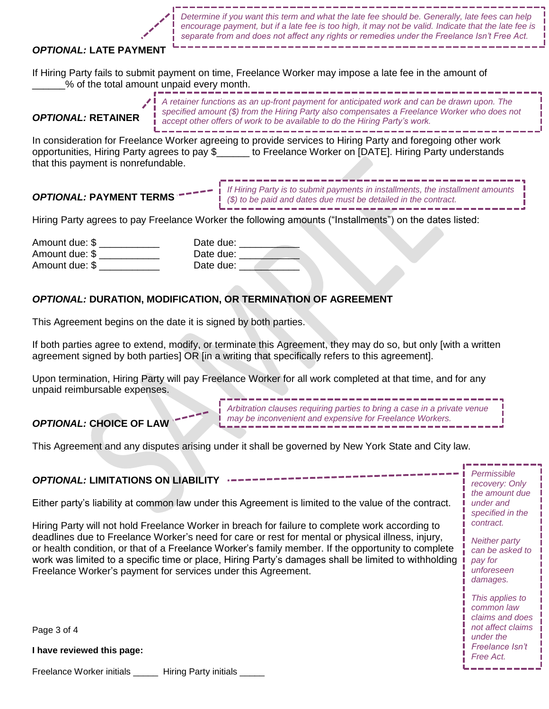#### *OPTIONAL:* **LATE PAYMENT**

*Determine if you want this term and what the late fee should be. Generally, late fees can help encourage payment, but if a late fee is too high, it may not be valid. Indicate that the late fee is separate from and does not affect any rights or remedies under the Freelance Isn't Free Act.*

If Hiring Party fails to submit payment on time, Freelance Worker may impose a late fee in the amount of \_\_\_\_\_\_% of the total amount unpaid every month.

# *OPTIONAL:* **RETAINER**

*A retainer functions as an up-front payment for anticipated work and can be drawn upon. The specified amount (\$) from the Hiring Party also compensates a Freelance Worker who does not accept other offers of work to be available to do the Hiring Party's work.*

In consideration for Freelance Worker agreeing to provide services to Hiring Party and foregoing other work opportunities, Hiring Party agrees to pay \$\_\_\_\_\_\_ to Freelance Worker on [DATE]. Hiring Party understands that this payment is nonrefundable.

## *OPTIONAL:* **PAYMENT TERMS**

the contract of the contract of the contract of the contract of the contract of the contract of *If Hiring Party is to submit payments in installments, the installment amounts (\$) to be paid and dates due must be detailed in the contract.*

Hiring Party agrees to pay Freelance Worker the following amounts ("Installments") on the dates listed:

| Amount due: \$ | Date due: |  |
|----------------|-----------|--|
| Amount due: \$ | Date due: |  |
| Amount due: \$ | Date due: |  |
|                |           |  |

| Date due: |  |
|-----------|--|
| Date due: |  |
| Date due: |  |

## *OPTIONAL:* **DURATION, MODIFICATION, OR TERMINATION OF AGREEMENT**

This Agreement begins on the date it is signed by both parties.

If both parties agree to extend, modify, or terminate this Agreement, they may do so, but only [with a written agreement signed by both parties] OR [in a writing that specifically refers to this agreement].

Upon termination, Hiring Party will pay Freelance Worker for all work completed at that time, and for any unpaid reimbursable expenses.

# *OPTIONAL:* **CHOICE OF LAW**

*Arbitration clauses requiring parties to bring a case in a private venue may be inconvenient and expensive for Freelance Workers.* 

This Agreement and any disputes arising under it shall be governed by New York State and City law.

#### *OPTIONAL:* **LIMITATIONS ON LIABILITY**

Either party's liability at common law under this Agreement is limited to the value of the contract.

Hiring Party will not hold Freelance Worker in breach for failure to complete work according to deadlines due to Freelance Worker's need for care or rest for mental or physical illness, injury, or health condition, or that of a Freelance Worker's family member. If the opportunity to complete work was limited to a specific time or place, Hiring Party's damages shall be limited to withholding Freelance Worker's payment for services under this Agreement.

*recovery: Only the amount due under and specified in the contract.* 

*Permissible* 

*Neither party can be asked to pay for unforeseen damages.*

*This applies to common law claims and does not affect claims under the Freelance Isn't Free Act.*

Page 3 of 4

**I have reviewed this page:**

Freelance Worker initials **Hiring Party initials**